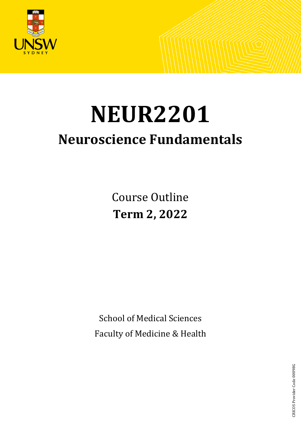

# **NEUR2201 Neuroscience Fundamentals**

Course Outline **Term 2, 2022**

School of Medical Sciences Faculty of Medicine & Health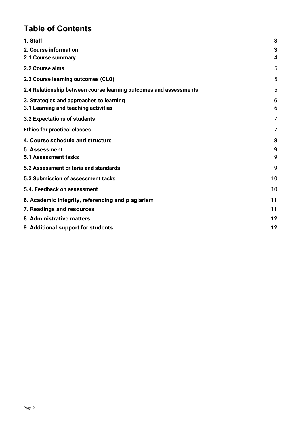# **Table of Contents**

| 1. Staff                                                          | 3              |
|-------------------------------------------------------------------|----------------|
| 2. Course information                                             | 3              |
| 2.1 Course summary                                                | $\overline{4}$ |
| 2.2 Course aims                                                   | 5              |
| 2.3 Course learning outcomes (CLO)                                | 5              |
| 2.4 Relationship between course learning outcomes and assessments | 5              |
| 3. Strategies and approaches to learning                          | 6              |
| 3.1 Learning and teaching activities                              | 6              |
| 3.2 Expectations of students                                      | 7              |
| <b>Ethics for practical classes</b>                               | 7              |
| 4. Course schedule and structure                                  | 8              |
| 5. Assessment                                                     | 9              |
| 5.1 Assessment tasks                                              | 9              |
| 5.2 Assessment criteria and standards                             | 9              |
| 5.3 Submission of assessment tasks                                | 10             |
| 5.4. Feedback on assessment                                       | 10             |
| 6. Academic integrity, referencing and plagiarism                 | 11             |
| 7. Readings and resources                                         | 11             |
| 8. Administrative matters                                         | 12             |
| 9. Additional support for students                                | 12             |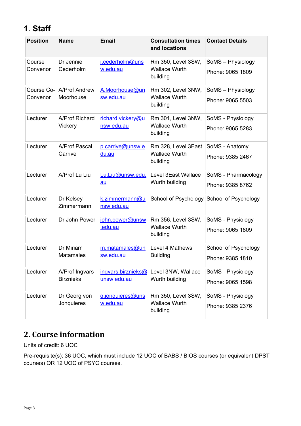# <span id="page-2-0"></span>**1**. **Staff**

| <b>Position</b>    | <b>Name</b>                                                                                             | <b>Email</b>                         | <b>Consultation times</b><br>and locations             | <b>Contact Details</b> |
|--------------------|---------------------------------------------------------------------------------------------------------|--------------------------------------|--------------------------------------------------------|------------------------|
| Course<br>Convenor | Dr Jennie<br>Cederholm                                                                                  | j.cederholm@uns<br>w.edu.au          | Rm 350, Level 3SW,<br><b>Wallace Wurth</b>             | SoMS - Physiology      |
|                    |                                                                                                         |                                      | building                                               | Phone: 9065 1809       |
| Convenor           | Course Co-   A/Prof Andrew<br>Moorhouse                                                                 | A.Moorhouse@un<br>sw.edu.au          | Rm 302, Level 3NW,<br><b>Wallace Wurth</b>             | SoMS - Physiology      |
|                    |                                                                                                         |                                      | building                                               | Phone: 9065 5503       |
| Lecturer           | A/Prof Richard<br>Vickery                                                                               | richard.vickery@u<br>nsw.edu.au      | Rm 301, Level 3NW,<br><b>Wallace Wurth</b>             | SoMS - Physiology      |
|                    |                                                                                                         |                                      | building                                               | Phone: 9065 5283       |
| Lecturer           | <b>A/Prof Pascal</b><br>p.carrive@unsw.e<br><b>Wallace Wurth</b><br>Carrive<br><u>du.au</u><br>building | Rm 328, Level 3East                  | SoMS - Anatomy                                         |                        |
|                    |                                                                                                         |                                      | Phone: 9385 2467                                       |                        |
| Lecturer           | A/Prof Lu Liu                                                                                           | Lu.Liu@unsw.edu.<br>au               | Level 3East Wallace<br>Wurth building                  | SoMS - Pharmacology    |
|                    |                                                                                                         |                                      |                                                        | Phone: 9385 8762       |
| Lecturer           | Dr Kelsey<br>Zimmermann                                                                                 | k.zimmermann@u<br>nsw.edu.au         | School of Psychology                                   | School of Psychology   |
| Lecturer           | Dr John Power                                                                                           | john.power@unsw                      | Rm 356, Level 3SW,<br><b>Wallace Wurth</b><br>building | SoMS - Physiology      |
|                    |                                                                                                         | .edu.au                              |                                                        | Phone: 9065 1809       |
| Lecturer           | Dr Miriam<br><b>Matamales</b>                                                                           | m.matamales@un<br>sw.edu.au          | Level 4 Mathews<br><b>Building</b>                     | School of Psychology   |
|                    |                                                                                                         |                                      |                                                        | Phone: 9385 1810       |
| Lecturer           | A/Prof Ingvars<br><b>Birznieks</b>                                                                      | ingvars.birznieks $@$<br>unsw.edu.au | Level 3NW, Wallace<br>Wurth building                   | SoMS - Physiology      |
|                    |                                                                                                         |                                      |                                                        | Phone: 9065 1598       |
| Lecturer           | Dr Georg von<br>Jonquieres                                                                              | g.jonquieres@uns<br>w.edu.au         | Rm 350, Level 3SW,<br><b>Wallace Wurth</b><br>building | SoMS - Physiology      |
|                    |                                                                                                         |                                      |                                                        | Phone: 9385 2376       |

# <span id="page-2-1"></span>**2. Course information**

Units of credit: 6 UOC

Pre-requisite(s): 36 UOC, which must include 12 UOC of BABS / BIOS courses (or equivalent DPST courses) OR 12 UOC of PSYC courses.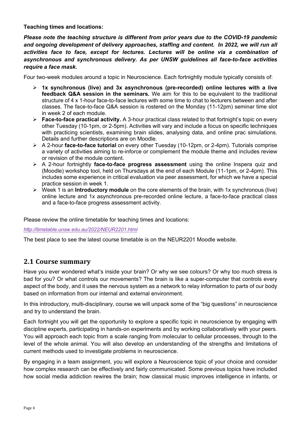**Teaching times and locations:** 

*Please note the teaching structure is different from prior years due to the COVID-19 pandemic and ongoing development of delivery approaches, staffing and content. In 2022, we will run all activities face to face, except for lectures. Lectures will be online via a combination of asynchronous and synchronous delivery. As per UNSW guidelines all face-to-face activities require a face mask.*

Four two-week modules around a topic in Neuroscience. Each fortnightly module typically consists of:

- **1x synchronous (live) and 3x asynchronous (pre-recorded) online lectures with a live feedback Q&A session in the seminars.** We aim for this to be equivalent to the traditional structure of 4 x 1-hour face-to-face lectures with some time to chat to lecturers between and after classes. The face-to-face Q&A session is rostered on the Monday (11-12pm) seminar time slot in week 2 of each module.
- **Eace-to-face practical activity.** A 3-hour practical class related to that fortnight's topic on every other Tuesday (10-1pm, or 2-5pm). Activities will vary and include a focus on specific techniques with practicing scientists, examining brain slides, analysing data, and online prac simulations. Details and further descriptions are on Moodle.
- A 2-hour **face-to-face tutorial** on every other Tuesday (10-12pm, or 2-4pm). Tutorials comprise a variety of activities aiming to re-inforce or complement the module theme and includes review or revision of the module content.
- A 2-hour fortnightly **face-to-face progress assessment** using the online Inspera quiz and (Moodle) workshop tool, held on Thursdays at the end of each Module (11-1pm, or 2-4pm). This includes some experience in critical evaluation via peer assessment, for which we have a special practice session in week 1.
- Week 1 is an **Introductory module** on the core elements of the brain, with 1x synchronous (live) online lecture and 1x asynchronous pre-recorded online lecture, a face-to-face practical class and a face-to-face progress assessment activity.

Please review the online timetable for teaching times and locations:

*<http://timetable.unsw.edu.au/2022/NEUR2201.html>*

The best place to see the latest course timetable is on the NEUR2201 Moodle website.

## <span id="page-3-0"></span>**2.1 Course summary**

Have you ever wondered what's inside your brain? Or why we see colours? Or why too much stress is bad for you? Or what controls our movements? The brain is like a super-computer that controls every aspect of the body, and it uses the nervous system as a network to relay information to parts of our body based on information from our internal and external environment.

In this introductory, multi-disciplinary, course we will unpack some of the "big questions" in neuroscience and try to understand the brain.

Each fortnight you will get the opportunity to explore a specific topic in neuroscience by engaging with discipline experts, participating in hands-on experiments and by working collaboratively with your peers. You will approach each topic from a scale ranging from molecular to cellular processes, through to the level of the whole animal. You will also develop an understanding of the strengths and limitations of current methods used to investigate problems in neuroscience.

By engaging in a team assignment, you will explore a Neuroscience topic of your choice and consider how complex research can be effectively and fairly communicated. Some previous topics have included how social media addiction rewires the brain; how classical music improves intelligence in infants, or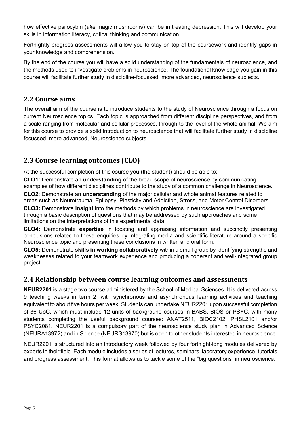how effective psilocybin (*aka* magic mushrooms) can be in treating depression. This will develop your skills in information literacy, critical thinking and communication.

Fortnightly progress assessments will allow you to stay on top of the coursework and identify gaps in your knowledge and comprehension.

By the end of the course you will have a solid understanding of the fundamentals of neuroscience, and the methods used to investigate problems in neuroscience. The foundational knowledge you gain in this course will facilitate further study in discipline-focussed, more advanced, neuroscience subjects.

## <span id="page-4-0"></span>**2.2 Course aims**

The overall aim of the course is to introduce students to the study of Neuroscience through a focus on current Neuroscience topics. Each topic is approached from different discipline perspectives, and from a scale ranging from molecular and cellular processes, through to the level of the whole animal. We aim for this course to provide a solid introduction to neuroscience that will facilitate further study in discipline focussed, more advanced, Neuroscience subjects.

## <span id="page-4-1"></span>**2.3 Course learning outcomes (CLO)**

At the successful completion of this course you (the student) should be able to:

**CLO1:** Demonstrate an **understanding** of the broad scope of neuroscience by communicating examples of how different disciplines contribute to the study of a common challenge in Neuroscience.

**CLO2**: Demonstrate an **understanding** of the major cellular and whole animal features related to areas such as Neurotrauma, Epilepsy, Plasticity and Addiction, Stress, and Motor Control Disorders.

**CLO3:** Demonstrate **insight** into the methods by which problems in neuroscience are investigated through a basic description of questions that may be addressed by such approaches and some limitations on the interpretations of this experimental data.

**CLO4:** Demonstrate **expertise** in locating and appraising information and succinctly presenting conclusions related to these enquiries by integrating media and scientific literature around a specific Neuroscience topic and presenting these conclusions in written and oral form.

**CLO5:** Demonstrate **skills in working collaboratively** within a small group by identifying strengths and weaknesses related to your teamwork experience and producing a coherent and well-integrated group project.

## <span id="page-4-2"></span>**2.4 Relationship between course learning outcomes and assessments**

**NEUR2201** is a stage two course administered by the School of Medical Sciences. It is delivered across 9 teaching weeks in term 2, with synchronous and asynchronous learning activities and teaching equivalent to about five hours per week. Students can undertake NEUR2201 upon successful completion of 36 UoC, which must include 12 units of background courses in BABS, BIOS or PSYC, with many students completing the useful background courses: ANAT2511, BIOC2102, PHSL2101 and/or PSYC2081. NEUR2201 is a compulsory part of the neuroscience study plan in Advanced Science (NEURA13972) and in Science (NEURS13970) but is open to other students interested in neuroscience.

NEUR2201 is structured into an introductory week followed by four fortnight-long modules delivered by experts in their field. Each module includes a series of lectures, seminars, laboratory experience, tutorials and progress assessment. This format allows us to tackle some of the "big questions" in neuroscience.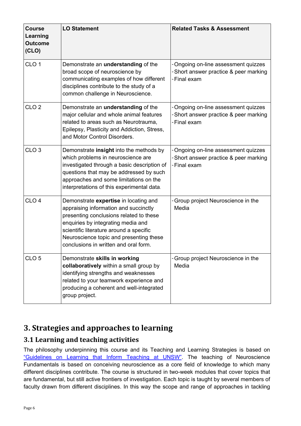| <b>Course</b><br>Learning<br><b>Outcome</b><br>(CLO) | <b>LO Statement</b>                                                                                                                                                                                                                                                                            | <b>Related Tasks &amp; Assessment</b>                                                          |
|------------------------------------------------------|------------------------------------------------------------------------------------------------------------------------------------------------------------------------------------------------------------------------------------------------------------------------------------------------|------------------------------------------------------------------------------------------------|
| CLO <sub>1</sub>                                     | Demonstrate an <i>understanding</i> of the<br>broad scope of neuroscience by<br>communicating examples of how different<br>disciplines contribute to the study of a<br>common challenge in Neuroscience.                                                                                       | - Ongoing on-line assessment quizzes<br>- Short answer practice & peer marking<br>- Final exam |
| CLO <sub>2</sub>                                     | Demonstrate an understanding of the<br>major cellular and whole animal features<br>related to areas such as Neurotrauma,<br>Epilepsy, Plasticity and Addiction, Stress,<br>and Motor Control Disorders.                                                                                        | - Ongoing on-line assessment quizzes<br>-Short answer practice & peer marking<br>- Final exam  |
| CLO <sub>3</sub>                                     | Demonstrate insight into the methods by<br>which problems in neuroscience are<br>investigated through a basic description of<br>questions that may be addressed by such<br>approaches and some limitations on the<br>interpretations of this experimental data.                                | - Ongoing on-line assessment quizzes<br>- Short answer practice & peer marking<br>- Final exam |
| CLO <sub>4</sub>                                     | Demonstrate expertise in locating and<br>appraising information and succinctly<br>presenting conclusions related to these<br>enquiries by integrating media and<br>scientific literature around a specific<br>Neuroscience topic and presenting these<br>conclusions in written and oral form. | - Group project Neuroscience in the<br>Media                                                   |
| CLO <sub>5</sub>                                     | Demonstrate skills in working<br>collaboratively within a small group by<br>identifying strengths and weaknesses<br>related to your teamwork experience and<br>producing a coherent and well-integrated<br>group project.                                                                      | - Group project Neuroscience in the<br>Media                                                   |

# <span id="page-5-0"></span>**3. Strategies and approaches to learning**

## <span id="page-5-1"></span>**3.1 Learning and teaching activities**

The philosophy underpinning this course and its Teaching and Learning Strategies is based on ["Guidelines on Learning that Inform Teaching at UNSW".](https://wiki.nsg.unsw.edu.au/download/attachments/213024840/Guidelines%20on%20learning%20that%20inform%20teaching%20at%20UNSW.pdf?version=1&modificationDate=1520298311000&api=v2) The teaching of Neuroscience Fundamentals is based on conceiving neuroscience as a core field of knowledge to which many different disciplines contribute. The course is structured in two-week modules that cover topics that are fundamental, but still active frontiers of investigation. Each topic is taught by several members of faculty drawn from different disciplines. In this way the scope and range of approaches in tackling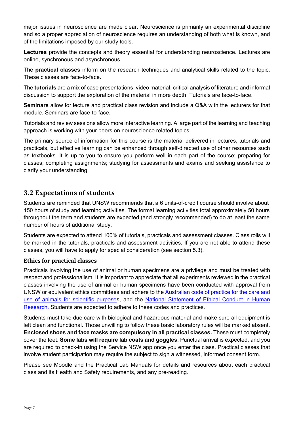major issues in neuroscience are made clear. Neuroscience is primarily an experimental discipline and so a proper appreciation of neuroscience requires an understanding of both what is known, and of the limitations imposed by our study tools.

**Lectures** provide the concepts and theory essential for understanding neuroscience. Lectures are online, synchronous and asynchronous.

The **practical classes** inform on the research techniques and analytical skills related to the topic. These classes are face-to-face.

The **tutorials** are a mix of case presentations, video material, critical analysis of literature and informal discussion to support the exploration of the material in more depth. Tutorials are face-to-face.

**Seminars** allow for lecture and practical class revision and include a Q&A with the lecturers for that module. Seminars are face-to-face.

Tutorials and review sessions allow more interactive learning. A large part of the learning and teaching approach is working with your peers on neuroscience related topics.

The primary source of information for this course is the material delivered in lectures, tutorials and practicals, but effective learning can be enhanced through self-directed use of other resources such as textbooks. It is up to you to ensure you perform well in each part of the course; preparing for classes; completing assignments; studying for assessments and exams and seeking assistance to clarify your understanding.

## <span id="page-6-0"></span>**3.2 Expectations of students**

Students are reminded that UNSW recommends that a 6 units-of-credit course should involve about 150 hours of study and learning activities. The formal learning activities total approximately 50 hours throughout the term and students are expected (and strongly recommended) to do at least the same number of hours of additional study.

Students are expected to attend 100% of tutorials, practicals and assessment classes. Class rolls will be marked in the tutorials, practicals and assessment activities. If you are not able to attend these classes, you will have to apply for special consideration (see section 5.3).

#### <span id="page-6-1"></span>**Ethics for practical classes**

Practicals involving the use of animal or human specimens are a privilege and must be treated with respect and professionalism. It is important to appreciate that all experiments reviewed in the practical classes involving the use of animal or human specimens have been conducted with approval from UNSW or equivalent ethics committees and adhere to the [Australian code of practice for the care and](https://www.nhmrc.gov.au/guidelines-publications/ea28)  [use of animals for scientific purpose](https://www.nhmrc.gov.au/guidelines-publications/ea28)s, and the National Statement of Ethical Conduct in Human [Research. Students are expected to adhere to these codes and practices.](https://www.nhmrc.gov.au/about-us/publications/national-statement-ethical-conduct-human-research-2007-updated-2018) 

Students must take due care with biological and hazardous material and make sure all equipment is left clean and functional. Those unwilling to follow these basic laboratory rules will be marked absent. **Enclosed shoes and face masks are compulsory in all practical classes.** These must completely cover the feet. **Some labs will require lab coats and goggles**. Punctual arrival is expected, and you are required to check-in using the Service NSW app once you enter the class. Practical classes that involve student participation may require the subject to sign a witnessed, informed consent form.

Please see Moodle and the Practical Lab Manuals for details and resources about each practical class and its Health and Safety requirements, and any pre-reading.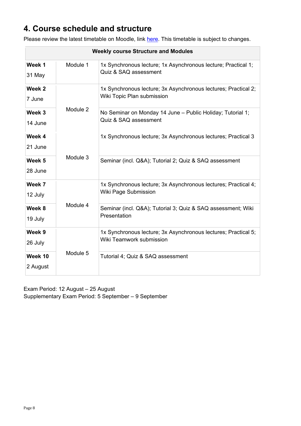# <span id="page-7-0"></span>**4. Course schedule and structure**

Please review the latest timetable on Moodle, link [here.](https://moodle.telt.unsw.edu.au/course/view.php?id=66949) This timetable is subject to changes.

| <b>Weekly course Structure and Modules</b> |          |                                                                                               |  |
|--------------------------------------------|----------|-----------------------------------------------------------------------------------------------|--|
| Week 1<br>31 May                           | Module 1 | 1x Synchronous lecture; 1x Asynchronous lecture; Practical 1;<br>Quiz & SAQ assessment        |  |
| Week 2<br>7 June                           |          | 1x Synchronous lecture; 3x Asynchronous lectures; Practical 2;<br>Wiki Topic Plan submission  |  |
| Week 3<br>14 June                          | Module 2 | No Seminar on Monday 14 June - Public Holiday; Tutorial 1;<br>Quiz & SAQ assessment           |  |
| Week 4<br>21 June                          | Module 3 | 1x Synchronous lecture; 3x Asynchronous lectures; Practical 3                                 |  |
| Week 5<br>28 June                          |          | Seminar (incl. Q&A); Tutorial 2; Quiz & SAQ assessment                                        |  |
| Week 7<br>12 July                          |          | 1x Synchronous lecture; 3x Asynchronous lectures; Practical 4;<br><b>Wiki Page Submission</b> |  |
| Week 8<br>19 July                          | Module 4 | Seminar (incl. Q&A); Tutorial 3; Quiz & SAQ assessment; Wiki<br>Presentation                  |  |
| Week 9<br>26 July                          |          | 1x Synchronous lecture; 3x Asynchronous lectures; Practical 5;<br>Wiki Teamwork submission    |  |
| Week 10<br>2 August                        | Module 5 | Tutorial 4; Quiz & SAQ assessment                                                             |  |

Exam Period: 12 August – 25 August Supplementary Exam Period: 5 September – 9 September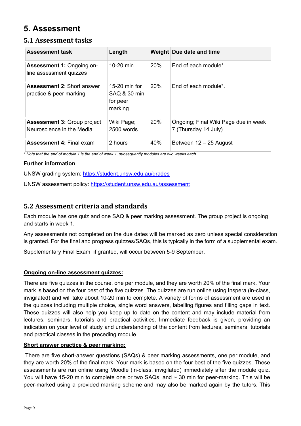# <span id="page-8-0"></span>**5. Assessment**

## <span id="page-8-1"></span>**5.1 Assessment tasks**

| <b>Assessment task</b>                                          | Length                                               |            | Weight Due date and time                                     |
|-----------------------------------------------------------------|------------------------------------------------------|------------|--------------------------------------------------------------|
| <b>Assessment 1: Ongoing on-</b><br>line assessment quizzes     | 10-20 min                                            | <b>20%</b> | End of each module <sup>*</sup> .                            |
| <b>Assessment 2: Short answer</b><br>practice & peer marking    | 15-20 min for<br>SAQ & 30 min<br>for peer<br>marking | <b>20%</b> | End of each module <sup>*</sup> .                            |
| <b>Assessment 3: Group project</b><br>Neuroscience in the Media | Wiki Page;<br>$2500$ words                           | 20%        | Ongoing; Final Wiki Page due in week<br>7 (Thursday 14 July) |
| <b>Assessment 4: Final exam</b>                                 | 2 hours                                              | 40%        | Between 12 – 25 August                                       |

*\* Note that the end of module 1 is the end of week 1, subsequently modules are two weeks each.*

#### **Further information**

UNSW grading system:<https://student.unsw.edu.au/grades>

UNSW assessment policy:<https://student.unsw.edu.au/assessment>

## <span id="page-8-2"></span>**5.2 Assessment criteria and standards**

Each module has one quiz and one SAQ & peer marking assessment. The group project is ongoing and starts in week 1.

Any assessments not completed on the due dates will be marked as zero unless special consideration is granted. For the final and progress quizzes/SAQs, this is typically in the form of a supplemental exam.

Supplementary Final Exam, if granted, will occur between 5-9 September.

#### **Ongoing on-line assessment quizzes:**

There are five quizzes in the course, one per module, and they are worth 20% of the final mark. Your mark is based on the four best of the five quizzes. The quizzes are run online using Inspera (in-class, invigilated) and will take about 10-20 min to complete. A variety of forms of assessment are used in the quizzes including multiple choice, single word answers, labelling figures and filling gaps in text. These quizzes will also help you keep up to date on the content and may include material from lectures, seminars, tutorials and practical activities. Immediate feedback is given, providing an indication on your level of study and understanding of the content from lectures, seminars, tutorials and practical classes in the preceding module.

#### **Short answer practice & peer marking:**

There are five short-answer questions (SAQs) & peer marking assessments, one per module, and they are worth 20% of the final mark. Your mark is based on the four best of the five quizzes. These assessments are run online using Moodle (in-class, invigilated) immediately after the module quiz. You will have 15-20 min to complete one or two SAQs, and ~ 30 min for peer-marking. This will be peer-marked using a provided marking scheme and may also be marked again by the tutors. This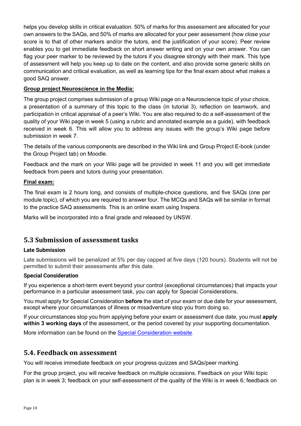helps you develop skills in critical evaluation. 50% of marks for this assessment are allocated for your own answers to the SAQs, and 50% of marks are allocated for your peer assessment (how close your score is to that of other markers and/or the tutors, and the justification of your score). Peer review enables you to get immediate feedback on short answer writing and on your own answer. You can flag your peer marker to be reviewed by the tutors if you disagree strongly with their mark. This type of assessment will help you keep up to date on the content, and also provide some generic skills on communication and critical evaluation, as well as learning tips for the final exam about what makes a good SAQ answer.

#### **Group project Neuroscience in the Media:**

The group project comprises submission of a group Wiki page on a Neuroscience topic of your choice, a presentation of a summary of this topic to the class (in tutorial 3), reflection on teamwork, and participation in critical appraisal of a peer's Wiki. You are also required to do a self-assessment of the quality of your Wiki page in week 5 (using a rubric and annotated example as a guide), with feedback received in week 6. This will allow you to address any issues with the group's Wiki page before submission in week 7.

The details of the various components are described in the Wiki link and Group Project E-book (under the Group Project tab) on Moodle.

Feedback and the mark on your Wiki page will be provided in week 11 and you will get immediate feedback from peers and tutors during your presentation.

#### **Final exam:**

The final exam is 2 hours long, and consists of multiple-choice questions, and five SAQs (one per module topic), of which you are required to answer four. The MCQs and SAQs will be similar in format to the practice SAQ assessments. This is an online exam using Inspera.

<span id="page-9-0"></span>Marks will be incorporated into a final grade and released by UNSW.

#### **5.3 Submission of assessment tasks**

#### **Late Submission**

Late submissions will be penalized at 5% per day capped at five days (120 hours). Students will not be permitted to submit their assessments after this date.

#### **Special Consideration**

If you experience a short-term event beyond your control (exceptional circumstances) that impacts your performance in a particular assessment task, you can apply for Special Considerations.

You must apply for Special Consideration **before** the start of your exam or due date for your assessment, except where your circumstances of illness or misadventure stop you from doing so.

If your circumstances stop you from applying before your exam or assessment due date, you must **apply within 3 working days** of the assessment, or the period covered by your supporting documentation.

More information can be found on the **Special Consideration website.** 

#### <span id="page-9-1"></span>**5.4. Feedback on assessment**

You will receive immediate feedback on your progress quizzes and SAQs/peer marking.

For the group project, you will receive feedback on multiple occasions. Feedback on your Wiki topic plan is in week 3; feedback on your self-assessment of the quality of the Wiki is in week 6; feedback on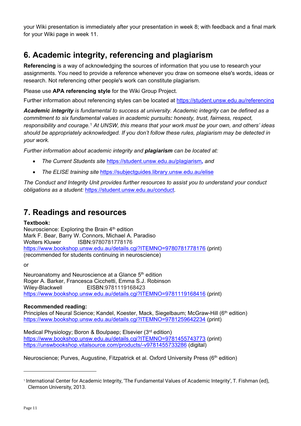your Wiki presentation is immediately after your presentation in week 8; with feedback and a final mark for your Wiki page in week 11.

# <span id="page-10-0"></span>**6. Academic integrity, referencing and plagiarism**

**Referencing** is a way of acknowledging the sources of information that you use to research your assignments. You need to provide a reference whenever you draw on someone else's words, ideas or research. Not referencing other people's work can constitute plagiarism.

Please use **APA referencing style** for the Wiki Group Project.

Further information about referencing styles can be located at<https://student.unsw.edu.au/referencing>

*Academic integrity is fundamental to success at university. Academic integrity can be defined as a commitment to six fundamental values in academic pursuits: honesty, trust, fairness, respect, responsibility and courage.*[1](#page-10-2) *At UNSW, this means that your work must be your own, and others' ideas should be appropriately acknowledged. If you don't follow these rules, plagiarism may be detected in your work.* 

*Further information about academic integrity and plagiarism can be located at:* 

- *The Current Students site* <https://student.unsw.edu.au/plagiarism>*, and*
- *The ELISE training site* <https://subjectguides.library.unsw.edu.au/elise>

*The Conduct and Integrity Unit provides further resources to assist you to understand your conduct obligations as a student:* <https://student.unsw.edu.au/conduct>*.*

# <span id="page-10-1"></span>**7. Readings and resources**

#### **Textbook:**

Neuroscience: Exploring the Brain 4<sup>th</sup> edition Mark F. Bear, Barry W. Connors, Michael A. Paradiso Wolters Kluwer ISBN:9780781778176 <https://www.bookshop.unsw.edu.au/details.cgi?ITEMNO=9780781778176> (print) (recommended for students continuing in neuroscience)

or

Neuroanatomy and Neuroscience at a Glance 5<sup>th</sup> edition Roger A. Barker, Francesca Cicchetti, Emma S.J. Robinson Wiley-Blackwell EISBN:9781119168423 <https://www.bookshop.unsw.edu.au/details.cgi?ITEMNO=9781119168416> (print)

#### **Recommended reading:**

Principles of Neural Science: Kandel, Koester, Mack, Siegelbaum; McGraw-Hill (6<sup>th</sup> edition) <https://www.bookshop.unsw.edu.au/details.cgi?ITEMNO=9781259642234> (print)

Medical Physiology; Boron & Boulpaep; Elsevier (3rd edition) <https://www.bookshop.unsw.edu.au/details.cgi?ITEMNO=9781455743773> (print) <https://unswbookshop.vitalsource.com/products/-v9781455733286> (digital)

Neuroscience; Purves, Augustine, Fitzpatrick et al. Oxford University Press (6<sup>th</sup> edition)

<span id="page-10-2"></span><sup>1</sup> International Center for Academic Integrity, 'The Fundamental Values of Academic Integrity', T. Fishman (ed), Clemson University, 2013.